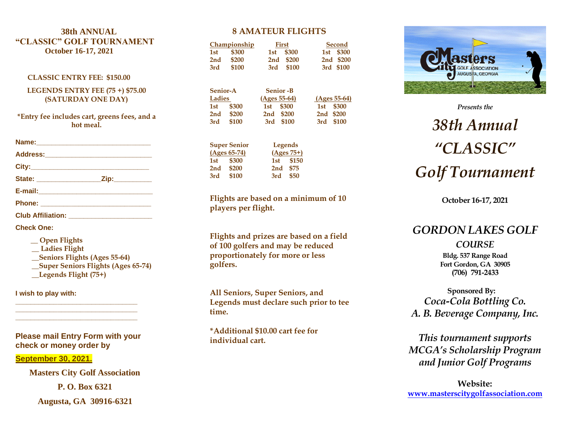#### **3 8th ANNUAL "CLASSIC" GOLF TOURNAMENT October 1 6 -17, 202 1**

#### **CLASSIC ENTRY FEE: \$150.00**

**LEGENDS ENTRY FEE (75 +) \$75.00 (SATURDAY ONE DAY)**

**\*Entry fee includes cart, greens fees, and a hot meal .**

| Name: 2008 2010 2021 2022 2023 2024 2022 2022 2023 2024 2022 2023 2024 2022 2023 2024 2022 2023 2024 2022 2023 |  |
|----------------------------------------------------------------------------------------------------------------|--|
|                                                                                                                |  |
|                                                                                                                |  |
|                                                                                                                |  |
|                                                                                                                |  |
|                                                                                                                |  |
| Club Affiliation: __________________________                                                                   |  |

**Check One:**

 **\_\_ Open Flights \_\_ Ladies Flight \_\_Seniors Flights (Ages 55 -64 ) \_\_Super Seniors Flights (Ages 65 -74) \_\_Legends Flight (75+)** 

**I wish to play with:**

**Please mail Entry Form with your check or money order by** 

**\_\_\_\_\_\_\_\_\_\_\_\_\_\_\_\_\_\_\_\_\_\_\_\_\_\_\_\_\_\_\_\_ \_\_\_\_\_\_\_\_\_\_\_\_\_\_\_\_\_\_\_\_\_\_\_\_\_\_\_\_\_\_\_\_ \_\_\_\_\_\_\_\_\_\_\_\_\_\_\_\_\_\_\_\_\_\_\_\_\_\_\_\_\_\_\_\_**

**September 30 , 202 1 .**

**Masters City Golf Association**

**P. O. Box 6321**

**Augusta, GA 30916 -6321**

#### **8 AMATEUR FLIGHTS**

|                 | Championship        |     | First           |     | Second         |
|-----------------|---------------------|-----|-----------------|-----|----------------|
| 1st             | \$300               | 1st | \$300           | 1st | \$300          |
| 2 <sub>nd</sub> | \$200               | 2nd | \$200           | 2nd | \$200          |
| 3rd             | \$100               | 3rd | \$100           | 3rd | \$100          |
|                 |                     |     |                 |     |                |
| <b>Senior-A</b> |                     |     | <b>Senior-B</b> |     |                |
| Ladies          |                     |     | $(Ages 55-64)$  |     | $(Ages 55-64)$ |
| 1st             | \$300               | 1st | \$300           | 1st | \$300          |
| 2 <sub>nd</sub> | \$200               | 2nd | \$200           | 2nd | \$200          |
| 3rd             | \$100               | 3rd | \$100           | 3rd | \$100          |
|                 | <b>Cunor Conjor</b> |     | I ogonde        |     |                |

| <b>Super Senior</b> |              | Legends  |              |  |
|---------------------|--------------|----------|--------------|--|
|                     | (Ages 65-74) |          | $(Ages 75+)$ |  |
|                     | 1st \$300    |          | 1st \$150    |  |
| 2nd                 | \$200        | 2nd \$75 |              |  |
| 3rd                 | \$100        | 3rd      | \$50         |  |

**Flights are based on a minimum of 10 players per flight.** 

**Flights and prizes are based on a field of 100 golfers and may be reduced proportionately for more or less golfers.**

**All Seniors, Super Seniors, and Legends must declare such prior to tee time.** 

**\*Additional \$10.00 cart fee for individual cart.** 



*Presents the 3 8th Annual "CLASSIC" Golf Tournament*

**October 1 6 -17, 202 1**

# *GORDON LAKES GOLF*

# *COURSE*

**Bldg. 537 Range Road Fort Gordon, GA 30905 (706) 791 -2433**

**Sponsored By:** *Coca -Cola Bottling Co. A. B. Beverage Company, Inc.*

*This tournament supports MCGA's Scholarship Program and Junior Golf Programs*

**Website: [www.masterscitygolfassociation.com](http://www.masterscitygolfassociation.com/)**